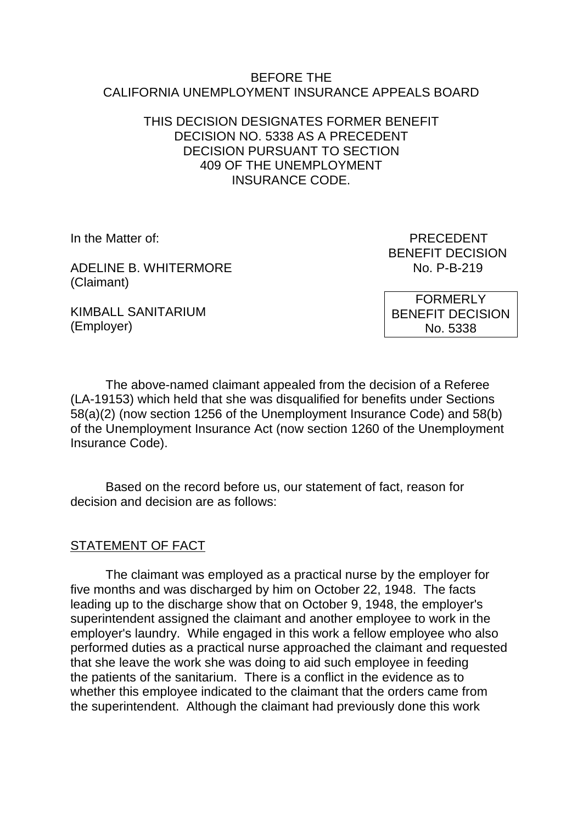#### BEFORE THE CALIFORNIA UNEMPLOYMENT INSURANCE APPEALS BOARD

#### THIS DECISION DESIGNATES FORMER BENEFIT DECISION NO. 5338 AS A PRECEDENT DECISION PURSUANT TO SECTION 409 OF THE UNEMPLOYMENT INSURANCE CODE.

ADELINE B. WHITERMORE NO. P-B-219 (Claimant)

KIMBALL SANITARIUM (Employer)

In the Matter of: PRECEDENT BENEFIT DECISION

> FORMERLY BENEFIT DECISION No. 5338

The above-named claimant appealed from the decision of a Referee (LA-19153) which held that she was disqualified for benefits under Sections 58(a)(2) (now section 1256 of the Unemployment Insurance Code) and 58(b) of the Unemployment Insurance Act (now section 1260 of the Unemployment Insurance Code).

Based on the record before us, our statement of fact, reason for decision and decision are as follows:

# STATEMENT OF FACT

The claimant was employed as a practical nurse by the employer for five months and was discharged by him on October 22, 1948. The facts leading up to the discharge show that on October 9, 1948, the employer's superintendent assigned the claimant and another employee to work in the employer's laundry. While engaged in this work a fellow employee who also performed duties as a practical nurse approached the claimant and requested that she leave the work she was doing to aid such employee in feeding the patients of the sanitarium. There is a conflict in the evidence as to whether this employee indicated to the claimant that the orders came from the superintendent. Although the claimant had previously done this work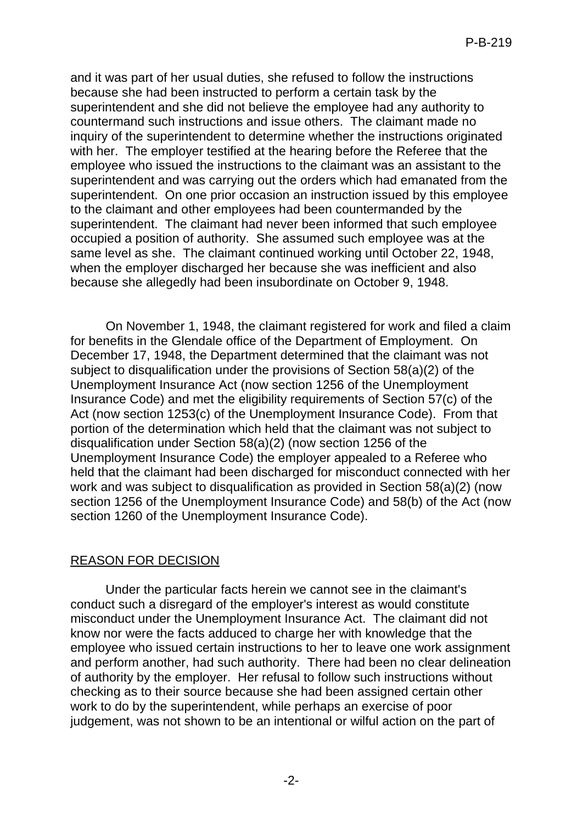and it was part of her usual duties, she refused to follow the instructions because she had been instructed to perform a certain task by the superintendent and she did not believe the employee had any authority to countermand such instructions and issue others. The claimant made no inquiry of the superintendent to determine whether the instructions originated with her. The employer testified at the hearing before the Referee that the employee who issued the instructions to the claimant was an assistant to the superintendent and was carrying out the orders which had emanated from the superintendent. On one prior occasion an instruction issued by this employee to the claimant and other employees had been countermanded by the superintendent. The claimant had never been informed that such employee occupied a position of authority. She assumed such employee was at the same level as she. The claimant continued working until October 22, 1948, when the employer discharged her because she was inefficient and also because she allegedly had been insubordinate on October 9, 1948.

On November 1, 1948, the claimant registered for work and filed a claim for benefits in the Glendale office of the Department of Employment. On December 17, 1948, the Department determined that the claimant was not subject to disqualification under the provisions of Section 58(a)(2) of the Unemployment Insurance Act (now section 1256 of the Unemployment Insurance Code) and met the eligibility requirements of Section 57(c) of the Act (now section 1253(c) of the Unemployment Insurance Code). From that portion of the determination which held that the claimant was not subject to disqualification under Section 58(a)(2) (now section 1256 of the Unemployment Insurance Code) the employer appealed to a Referee who held that the claimant had been discharged for misconduct connected with her work and was subject to disqualification as provided in Section 58(a)(2) (now section 1256 of the Unemployment Insurance Code) and 58(b) of the Act (now section 1260 of the Unemployment Insurance Code).

# REASON FOR DECISION

Under the particular facts herein we cannot see in the claimant's conduct such a disregard of the employer's interest as would constitute misconduct under the Unemployment Insurance Act. The claimant did not know nor were the facts adduced to charge her with knowledge that the employee who issued certain instructions to her to leave one work assignment and perform another, had such authority. There had been no clear delineation of authority by the employer. Her refusal to follow such instructions without checking as to their source because she had been assigned certain other work to do by the superintendent, while perhaps an exercise of poor judgement, was not shown to be an intentional or wilful action on the part of